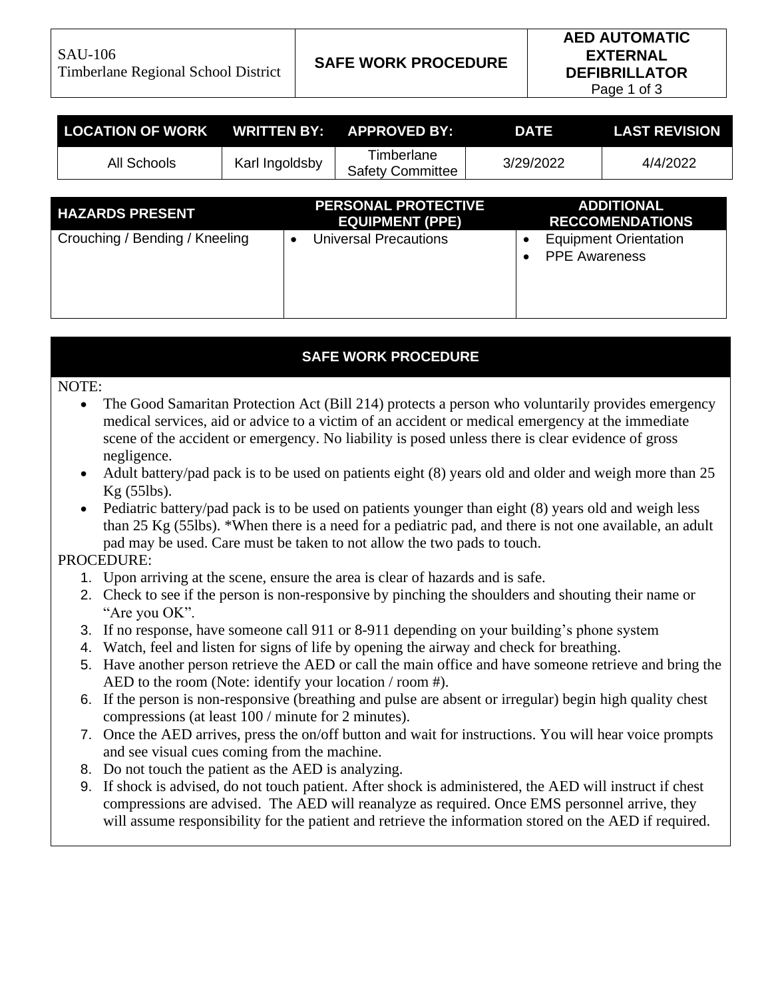SAU-106 Timberlane Regional School District **SAFE WORK PROCEDURE**

Page 1 of 3

| <b>LOCATION OF WORK</b>        | <b>WRITTEN BY:</b> |                                                      | <b>APPROVED BY:</b>                   |           | <b>DATE</b>                                 | <b>LAST REVISION</b>         |  |
|--------------------------------|--------------------|------------------------------------------------------|---------------------------------------|-----------|---------------------------------------------|------------------------------|--|
| All Schools                    | Karl Ingoldsby     |                                                      | Timberlane<br><b>Safety Committee</b> | 3/29/2022 |                                             | 4/4/2022                     |  |
|                                |                    |                                                      |                                       |           |                                             |                              |  |
| <b>HAZARDS PRESENT</b>         |                    | <b>PERSONAL PROTECTIVE</b><br><b>EQUIPMENT (PPE)</b> |                                       |           | <b>ADDITIONAL</b><br><b>RECCOMENDATIONS</b> |                              |  |
| Crouching / Bending / Kneeling |                    | $\bullet$                                            | <b>Universal Precautions</b>          |           | $\bullet$<br><b>PPE Awareness</b>           | <b>Equipment Orientation</b> |  |

### **SAFE WORK PROCEDURE**

#### NOTE:

- The Good Samaritan Protection Act (Bill 214) protects a person who voluntarily provides emergency medical services, aid or advice to a victim of an accident or medical emergency at the immediate scene of the accident or emergency. No liability is posed unless there is clear evidence of gross negligence.
- Adult battery/pad pack is to be used on patients eight (8) years old and older and weigh more than 25 Kg (55lbs).
- Pediatric battery/pad pack is to be used on patients younger than eight (8) years old and weigh less than 25 Kg (55lbs). \*When there is a need for a pediatric pad, and there is not one available, an adult pad may be used. Care must be taken to not allow the two pads to touch.

## PROCEDURE:

- 1. Upon arriving at the scene, ensure the area is clear of hazards and is safe.
- 2. Check to see if the person is non-responsive by pinching the shoulders and shouting their name or "Are you OK".
- 3. If no response, have someone call 911 or 8-911 depending on your building's phone system
- 4. Watch, feel and listen for signs of life by opening the airway and check for breathing.
- 5. Have another person retrieve the AED or call the main office and have someone retrieve and bring the AED to the room (Note: identify your location / room #).
- 6. If the person is non-responsive (breathing and pulse are absent or irregular) begin high quality chest compressions (at least 100 / minute for 2 minutes).
- 7. Once the AED arrives, press the on/off button and wait for instructions. You will hear voice prompts and see visual cues coming from the machine.
- 8. Do not touch the patient as the AED is analyzing.
- 9. If shock is advised, do not touch patient. After shock is administered, the AED will instruct if chest compressions are advised. The AED will reanalyze as required. Once EMS personnel arrive, they will assume responsibility for the patient and retrieve the information stored on the AED if required.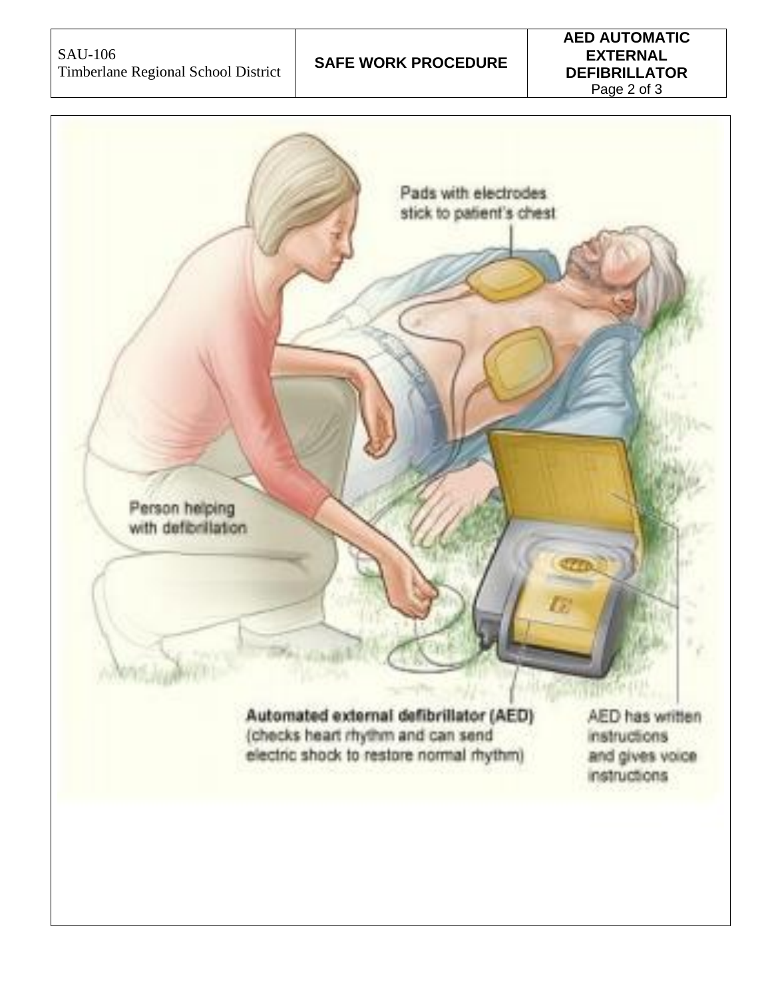